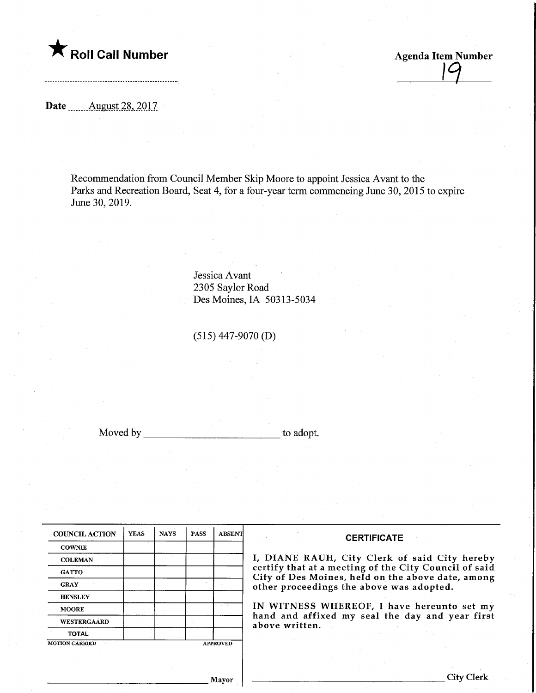

Agenda Item Number

Date ........August.28,.2017

Recommendation from Council Member Skip Moore to appoint Jessica Avant to the Parks and Recreation Board, Seat 4, for a four-year term commencing June 30, 2015 to expire June 30, 2019.

> Jessica Avant 2305 Saylor Road Des Moines, IA 50313-5034

(515) 447-9070 (D)

Moved by to adopt.

| <b>COUNCIL ACTION</b> | <b>YEAS</b> | <b>NAYS</b> | <b>PASS</b> | <b>ABSENT</b>   |
|-----------------------|-------------|-------------|-------------|-----------------|
| <b>COWNIE</b>         |             |             |             |                 |
| <b>COLEMAN</b>        |             |             |             |                 |
| <b>GATTO</b>          |             |             |             |                 |
| <b>GRAY</b>           |             |             |             |                 |
| <b>HENSLEY</b>        |             |             |             |                 |
| <b>MOORE</b>          |             |             |             |                 |
| <b>WESTERGAARD</b>    |             |             |             |                 |
| <b>TOTAL</b>          |             |             |             |                 |
| <b>MOTION CARRIED</b> |             |             |             | <b>APPROVED</b> |

#### **CERTIFICATE**

IE RAUH, City Clerk of said City hereby that at a meeting of the City Council of said Des Moines, held on the above date, among oceedings the above was adopted.

NESS WHEREOF, I have hereunto set my id affixed my seal the day and year first vritten.

Mayor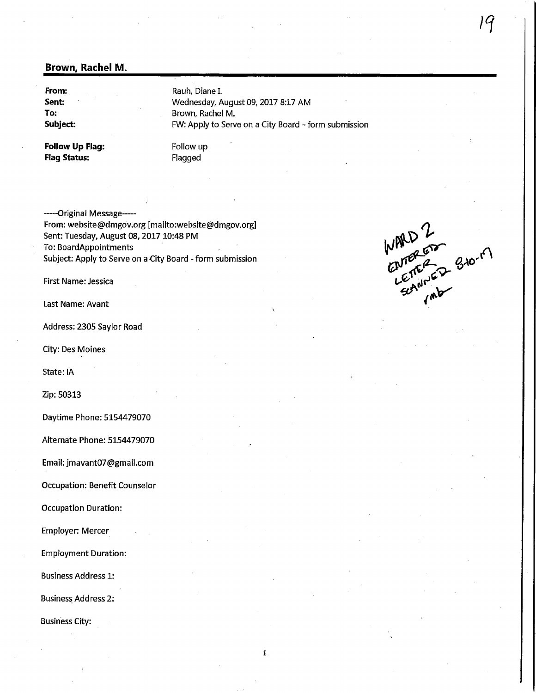#### Brown, Rachel M.

From: Sent: To: Subject: Rauh, Diane I. Wednesday, August 09, 2017 8:17 AM Brown, Rachel M. FW: Apply to Serve on a City Board - form submission

Follow Up Flag: Flag Status:

Follow up Flagged

-----Original Message--From: website@dmgov.org [mailto:website@dmgov.org] Sent: Tuesday, August 08,2017 10:48 PM To: BoardAppointments Subject: Apply to Serve on a City Board - form submission

Last Name: Avant

Address: 2305 Saylor Road

City: Des Moines

State: IA

Zip: 50313

Daytime Phone: 5154479070

Alternate Phone: 5154479070

Email: jmavant07@gmail.com

Occupation: Benefit Counselor

Occupation Duration:

Employer: Mercer

Employment Duration:

Business Address 1:

Business Address 2:

Business City:

First Name: Jessica *CNI*<br>First Name: Jessica *CNI*<br>AMP ENTER & SIO

 $\mathbf 1$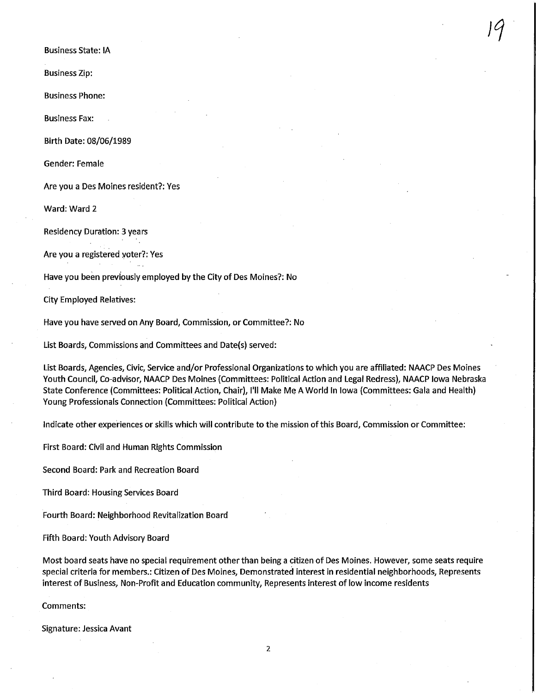Business State: IA

Business Zip:

Business Phone:

Business Fax:

Birth Date: 08/06/1989

Gender: Female

Are you a Des Moines resident?: Yes

Ward: Ward 2

Residency Duration: 3 years

Are you a registered voter?: Yes

Have you been previously employed by the City of Des Moines?: No

City Employed Relatives:

Have you have served on Any Board, Commission, or Committee?: No

List Boards, Commissions and Committees and Date(s) served:

List Boards, Agencies, Civic, Service and/or Professional Organizations to which you are affiliated: NAACP Des Moines Youth Council, Co-advisor, NAACP Des Moines (Committees: Political Action and Legal Redress), NAACP Iowa Nebraska State Conference (Committees: Political Action, Chair), I'll Make Me A World In Iowa (Committees: Gala and Health) Young Professionals Connection (Committees: Political Action)

 $\overline{9}$ 

Indicate other experiences or skills which will contribute to the mission of this Board, Commission or Committee:

First Board: Civil and Human Rights Commission

Second Board: Park and Recreation Board

Third Board: Housing Services Board

Fourth Board: Neighborhood Revitalization Board

Fifth Board: Youth Advisory Board

Most board seats have no special requirement other than being a citizen of Des Moines. However, some seats require special criteria for members.: Citizen of Des Moines, Demonstrated interest in residential neighborhoods. Represents interest of Business, Non-Profit and Education community, Represents interest of low income residents

Comments:

Signature: Jessica Avant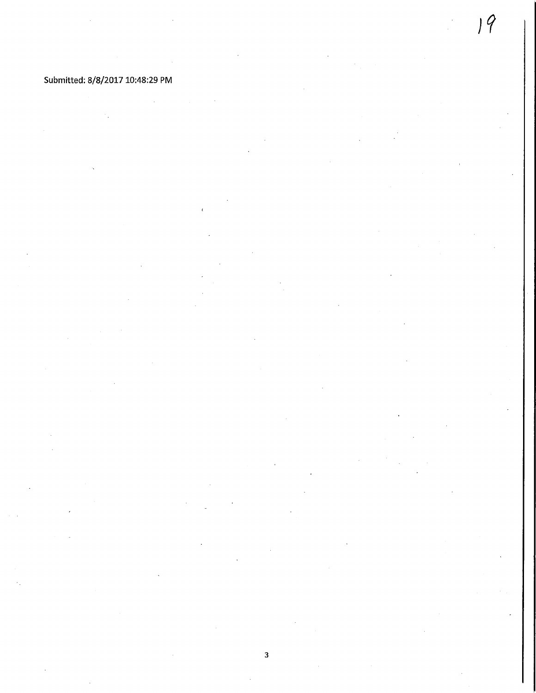### Submitted: 8/8/2017 10:48:29 PM

 $\overline{\mathbf{3}}$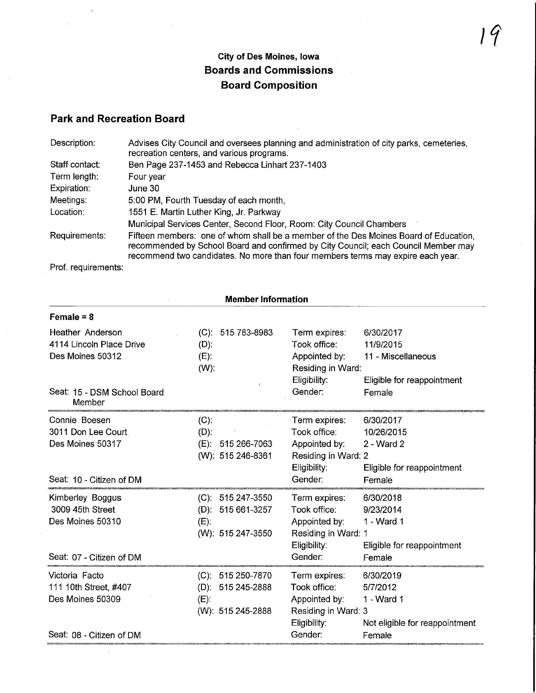# City of Des Moines, Iowa Boards and Commissions Board Composition

## Park and Recreation Board

| Description:   | Advises City Council and oversees planning and administration of city parks, cemeteries,<br>recreation centers, and various programs.                                                                                                                         |
|----------------|---------------------------------------------------------------------------------------------------------------------------------------------------------------------------------------------------------------------------------------------------------------|
| Staff contact: | Ben Page 237-1453 and Rebecca Linhart 237-1403                                                                                                                                                                                                                |
| Term length:   | Four year                                                                                                                                                                                                                                                     |
| Expiration:    | June 30                                                                                                                                                                                                                                                       |
| Meetings:      | 5:00 PM, Fourth Tuesday of each month,                                                                                                                                                                                                                        |
| Location:      | 1551 E. Martin Luther King, Jr. Parkway                                                                                                                                                                                                                       |
|                | Municipal Services Center, Second Floor, Room: City Council Chambers                                                                                                                                                                                          |
| Requirements:  | Fifteen members: one of whom shall be a member of the Des Moines Board of Education.<br>recommended by School Board and confirmed by City Council; each Council Member may<br>recommend two candidates. No more than four members terms may expire each year. |

Prof. requirements:

 $\hat{\boldsymbol{\alpha}}$ 

| <b>Member Information</b>                                               |                                                                           |                                                                                       |                                                                       |  |
|-------------------------------------------------------------------------|---------------------------------------------------------------------------|---------------------------------------------------------------------------------------|-----------------------------------------------------------------------|--|
| $Female = 8$                                                            |                                                                           |                                                                                       |                                                                       |  |
| <b>Heather Anderson</b><br>4114 Lincoln Place Drive<br>Des Moines 50312 | (C): 515 783-8983<br>$(D)$ :<br>$(E)$ :<br>$(W)$ :                        | Term expires:<br>Took office:<br>Appointed by:<br>Residing in Ward:                   | 6/30/2017<br>11/9/2015<br>11 - Miscellaneous                          |  |
| Seat: 15 - DSM School Board<br>Member                                   |                                                                           | Eligibility:<br>Gender:                                                               | Eligible for reappointment<br>Female                                  |  |
| Connie Boesen<br>3011 Don Lee Court<br>Des Moines 50317                 | $(C)$ :<br>$(D)$ :<br>$(E)$ : 515 266-7063<br>(W): 515 246-8361           | Term expires:<br>Took office:<br>Appointed by:<br>Residing in Ward: 2<br>Eligibility: | 6/30/2017<br>10/26/2015<br>$2 - Ward$ 2<br>Eligible for reappointment |  |
| Seat: 10 - Citizen of DM                                                |                                                                           | Gender:                                                                               | Female                                                                |  |
| Kimberley Boggus<br>3009 45th Street<br>Des Moines 50310                | (C): 515 247-3550<br>(D): 515 661-3257<br>$(E)$ :<br>(W): 515 247-3550    | Term expires:<br>Took office:<br>Appointed by:<br>Residing in Ward: 1<br>Eligibility: | 6/30/2018<br>9/23/2014<br>1 - Ward 1<br>Eligible for reappointment    |  |
| Seat: 07 - Citizen of DM                                                |                                                                           | Gender:                                                                               | Female                                                                |  |
| Victoria Facto<br>111 10th Street, #407<br>Des Moines 50309             | (C): 515 250-7870<br>$(D)$ : 515 245-2888<br>$(E)$ :<br>(W): 515 245-2888 | Term expires:<br>Took office:<br>Appointed by:<br>Residing in Ward: 3<br>Eligibility: | 6/30/2019<br>5/7/2012<br>1 - Ward 1<br>Not eligible for reappointment |  |
| Seat: 08 - Citizen of DM                                                |                                                                           | Gender:                                                                               | Female                                                                |  |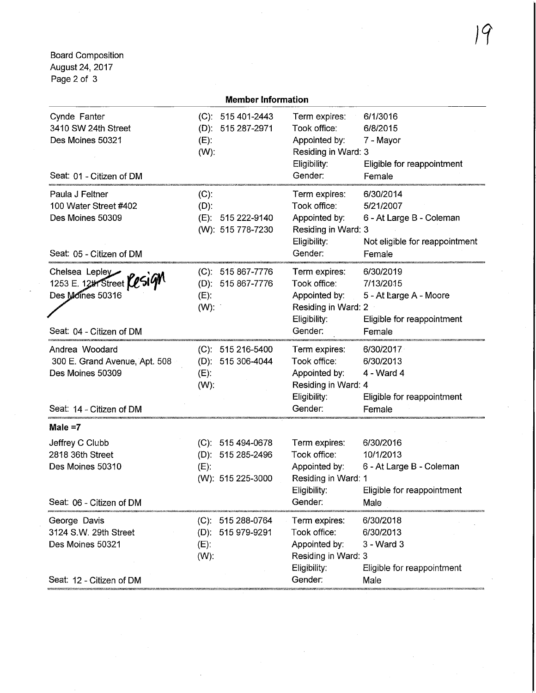Board Composition August 24,2017 Page 2 of 3

| <b>Member Information</b>                                                                           |                                                                          |                                                                                                  |                                                                                                |  |
|-----------------------------------------------------------------------------------------------------|--------------------------------------------------------------------------|--------------------------------------------------------------------------------------------------|------------------------------------------------------------------------------------------------|--|
| Cynde Fanter<br>3410 SW 24th Street<br>Des Moines 50321<br>Seat: 01 - Citizen of DM                 | $(C): 515401-2443$<br>(D): 515 287-2971<br>$(E)$ :<br>$(W)$ :            | Term expires:<br>Took office:<br>Appointed by:<br>Residing in Ward: 3<br>Eligibility:<br>Gender: | 6/1/3016<br>6/8/2015<br>7 - Mayor<br>Eligible for reappointment<br>Female                      |  |
| Paula J Feltner<br>100 Water Street #402<br>Des Moines 50309<br>Seat: 05 - Citizen of DM            | $(C)$ :<br>$(D)$ :<br>(E): 515 222-9140<br>(W): 515 778-7230             | Term expires:<br>Took office:<br>Appointed by:<br>Residing in Ward: 3<br>Eligibility:<br>Gender: | 6/30/2014<br>5/21/2007<br>6 - At Large B - Coleman<br>Not eligible for reappointment<br>Female |  |
| Chelsea Lepley<br>1253 E. 12th Street <b>Yesign</b><br>Des Moines 50316<br>Seat: 04 - Citizen of DM | (C): 515 867-7776<br>(D): 515 867-7776<br>$(E)$ :<br>$(W)$ :             | Term expires:<br>Took office:<br>Appointed by:<br>Residing in Ward: 2<br>Eligibility:<br>Gender: | 6/30/2019<br>7/13/2015<br>5 - At Large A - Moore<br>Eligible for reappointment<br>Female       |  |
| Andrea Woodard<br>300 E. Grand Avenue, Apt. 508<br>Des Moines 50309<br>Seat: 14 - Citizen of DM     | (C): 515 216-5400<br>(D): 515 306-4044<br>$(E)$ :<br>$(W)$ :             | Term expires:<br>Took office:<br>Appointed by:<br>Residing in Ward: 4<br>Eligibility:<br>Gender: | 6/30/2017<br>6/30/2013<br>$4 - Ward 4$<br>Eligible for reappointment<br>Female                 |  |
| Male $=7$                                                                                           |                                                                          |                                                                                                  |                                                                                                |  |
| Jeffrey C Clubb<br>2818 36th Street<br>Des Moines 50310<br>Seat: 06 - Citizen of DM                 | $(C): 515494-0678$<br>(D): 515 285-2496<br>$(E)$ :<br>(W): 515 225-3000  | Term expires:<br>Took office:<br>Appointed by:<br>Residing in Ward: 1<br>Eligibility:<br>Gender: | 6/30/2016<br>10/1/2013<br>6 - At Large B - Coleman<br>Eligible for reappointment<br>Male       |  |
| George Davis<br>3124 S.W. 29th Street<br>Des Moines 50321<br>Seat: 12 - Citizen of DM               | 515 288-0764<br>$(C)$ :<br>515 979-9291<br>$(D)$ :<br>$(E)$ :<br>$(W)$ : | Term expires:<br>Took office:<br>Appointed by:<br>Residing in Ward: 3<br>Eligibility:<br>Gender: | 6/30/2018<br>6/30/2013<br>$3 - Ward3$<br>Eligible for reappointment<br>Male                    |  |